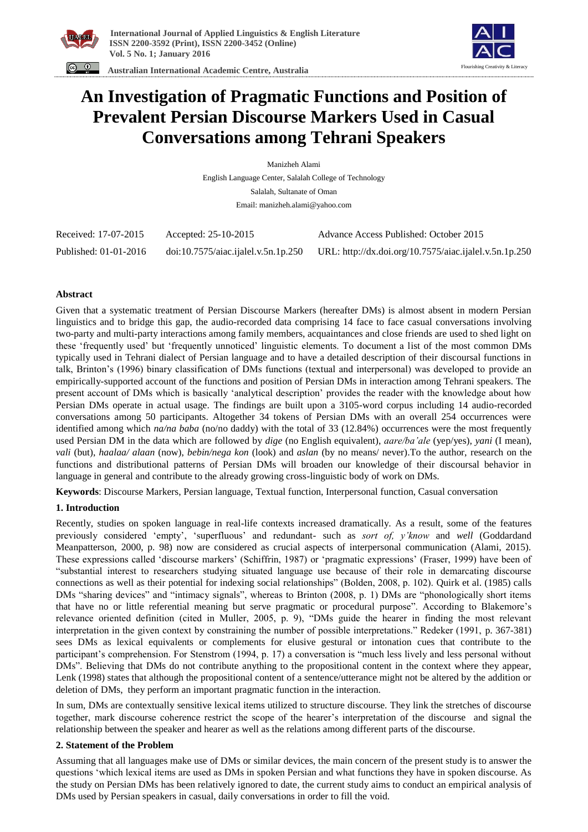



 **Australian International Academic Centre, Australia** 

# **An Investigation of Pragmatic Functions and Position of Prevalent Persian Discourse Markers Used in Casual Conversations among Tehrani Speakers**

Manizheh Alami English Language Center, Salalah College of Technology Salalah, Sultanate of Oman Email: manizheh.alami@yahoo.com

| Received: 17-07-2015  | Accepted: 25-10-2015                | Advance Access Published: October 2015                 |
|-----------------------|-------------------------------------|--------------------------------------------------------|
| Published: 01-01-2016 | doi:10.7575/aiac.ijalel.v.5n.1p.250 | URL: http://dx.doi.org/10.7575/aiac.ijalel.v.5n.1p.250 |

# **Abstract**

Given that a systematic treatment of Persian Discourse Markers (hereafter DMs) is almost absent in modern Persian linguistics and to bridge this gap, the audio-recorded data comprising 14 face to face casual conversations involving two-party and multi-party interactions among family members, acquaintances and close friends are used to shed light on these 'frequently used' but 'frequently unnoticed' linguistic elements. To document a list of the most common DMs typically used in Tehrani dialect of Persian language and to have a detailed description of their discoursal functions in talk, Brinton's (1996) binary classification of DMs functions (textual and interpersonal) was developed to provide an empirically-supported account of the functions and position of Persian DMs in interaction among Tehrani speakers. The present account of DMs which is basically 'analytical description' provides the reader with the knowledge about how Persian DMs operate in actual usage. The findings are built upon a 3105-word corpus including 14 audio-recorded conversations among 50 participants. Altogether 34 tokens of Persian DMs with an overall 254 occurrences were identified among which  $na/na baba$  (no/no daddy) with the total of 33 (12.84%) occurrences were the most frequently used Persian DM in the data which are followed by *dige* (no English equivalent), *aare/ba'ale* (yep/yes), *yani* (I mean), *vali* (but), *haalaa/ alaan* (now), *bebin/nega kon* (look) and *aslan* (by no means/ never).To the author, research on the functions and distributional patterns of Persian DMs will broaden our knowledge of their discoursal behavior in language in general and contribute to the already growing cross-linguistic body of work on DMs.

**Keywords**: Discourse Markers, Persian language, Textual function, Interpersonal function, Casual conversation

# **1. Introduction**

Recently, studies on spoken language in real-life contexts increased dramatically. As a result, some of the features previously considered 'empty', 'superfluous' and redundant- such as *sort of, y'know* and *well* (Goddardand Meanpatterson, 2000, p. 98) now are considered as crucial aspects of interpersonal communication (Alami, 2015). These expressions called 'discourse markers' (Schiffrin, 1987) or 'pragmatic expressions' (Fraser, 1999) have been of "substantial interest to researchers studying situated language use because of their role in demarcating discourse connections as well as their potential for indexing social relationships" (Bolden, 2008, p. 102). Quirk et al. (1985) calls DMs "sharing devices" and "intimacy signals", whereas to Brinton (2008, p. 1) DMs are "phonologically short items that have no or little referential meaning but serve pragmatic or procedural purpose". According to Blakemore's relevance oriented definition (cited in Muller, 2005, p. 9), "DMs guide the hearer in finding the most relevant interpretation in the given context by constraining the number of possible interpretations." Redeker (1991, p. 367-381) sees DMs as lexical equivalents or complements for elusive gestural or intonation cues that contribute to the participant's comprehension. For Stenstrom (1994, p. 17) a conversation is "much less lively and less personal without DMs". Believing that DMs do not contribute anything to the propositional content in the context where they appear, Lenk (1998) states that although the propositional content of a sentence/utterance might not be altered by the addition or deletion of DMs, they perform an important pragmatic function in the interaction.

In sum, DMs are contextually sensitive lexical items utilized to structure discourse. They link the stretches of discourse together, mark discourse coherence restrict the scope of the hearer's interpretation of the discourse and signal the relationship between the speaker and hearer as well as the relations among different parts of the discourse.

# **2. Statement of the Problem**

Assuming that all languages make use of DMs or similar devices, the main concern of the present study is to answer the questions 'which lexical items are used as DMs in spoken Persian and what functions they have in spoken discourse. As the study on Persian DMs has been relatively ignored to date, the current study aims to conduct an empirical analysis of DMs used by Persian speakers in casual, daily conversations in order to fill the void.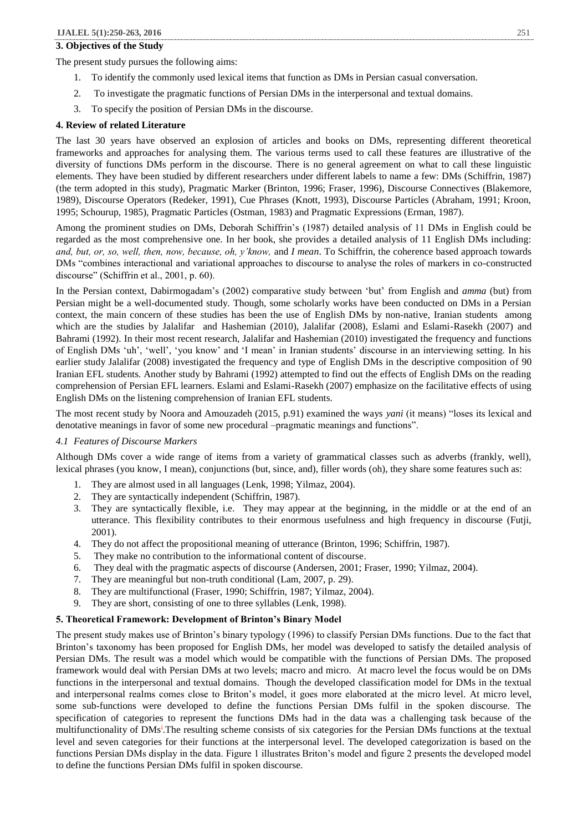#### **3. Objectives of the Study**

The present study pursues the following aims:

- 1. To identify the commonly used lexical items that function as DMs in Persian casual conversation.
- 2. To investigate the pragmatic functions of Persian DMs in the interpersonal and textual domains.
- 3. To specify the position of Persian DMs in the discourse.

#### **4. Review of related Literature**

The last 30 years have observed an explosion of articles and books on DMs, representing different theoretical frameworks and approaches for analysing them. The various terms used to call these features are illustrative of the diversity of functions DMs perform in the discourse. There is no general agreement on what to call these linguistic elements. They have been studied by different researchers under different labels to name a few: DMs (Schiffrin, 1987) (the term adopted in this study), Pragmatic Marker (Brinton, 1996; Fraser, 1996), Discourse Connectives (Blakemore, 1989), Discourse Operators (Redeker, 1991), Cue Phrases (Knott, 1993), Discourse Particles (Abraham, 1991; Kroon, 1995; Schourup, 1985), Pragmatic Particles (Ostman, 1983) and Pragmatic Expressions (Erman, 1987).

Among the prominent studies on DMs, Deborah Schiffrin's (1987) detailed analysis of 11 DMs in English could be regarded as the most comprehensive one. In her book, she provides a detailed analysis of 11 English DMs including: *and, but, or, so, well, then, now, because, oh, y'know,* and *I mean*. To Schiffrin, the coherence based approach towards DMs "combines interactional and variational approaches to discourse to analyse the roles of markers in co-constructed discourse" (Schiffrin et al., 2001, p. 60).

In the Persian context, Dabirmogadam's (2002) comparative study between 'but' from English and *amma* (but) from Persian might be a well-documented study. Though, some scholarly works have been conducted on DMs in a Persian context, the main concern of these studies has been the use of English DMs by non-native, Iranian students among which are the studies by Jalalifar and Hashemian (2010), Jalalifar (2008), Eslami and Eslami-Rasekh (2007) and Bahrami (1992). In their most recent research, Jalalifar and Hashemian (2010) investigated the frequency and functions of English DMs 'uh', 'well', 'you know' and 'I mean' in Iranian students' discourse in an interviewing setting. In his earlier study Jalalifar (2008) investigated the frequency and type of English DMs in the descriptive composition of 90 Iranian EFL students. Another study by Bahrami (1992) attempted to find out the effects of English DMs on the reading comprehension of Persian EFL learners. Eslami and Eslami-Rasekh (2007) emphasize on the facilitative effects of using English DMs on the listening comprehension of Iranian EFL students.

The most recent study by Noora and Amouzadeh (2015, p.91) examined the ways *yani* (it means) "loses its lexical and denotative meanings in favor of some new procedural –pragmatic meanings and functions".

#### *4.1 Features of Discourse Markers*

Although DMs cover a wide range of items from a variety of grammatical classes such as adverbs (frankly, well), lexical phrases (you know, I mean), conjunctions (but, since, and), filler words (oh), they share some features such as:

- 1. They are almost used in all languages (Lenk, 1998; Yilmaz, 2004).
- 2. They are syntactically independent (Schiffrin, 1987).
- 3. They are syntactically flexible, i.e. They may appear at the beginning, in the middle or at the end of an utterance. This flexibility contributes to their enormous usefulness and high frequency in discourse (Futji, 2001).
- 4. They do not affect the propositional meaning of utterance (Brinton, 1996; Schiffrin, 1987).
- 5. They make no contribution to the informational content of discourse.
- 6. They deal with the pragmatic aspects of discourse (Andersen, 2001; Fraser, 1990; Yilmaz, 2004).
- 7. They are meaningful but non-truth conditional (Lam, 2007, p. 29).
- 8. They are multifunctional (Fraser, 1990; Schiffrin, 1987; Yilmaz, 2004).
- 9. They are short, consisting of one to three syllables (Lenk, 1998).

# **5. Theoretical Framework: Development of Brinton's Binary Model**

The present study makes use of Brinton's binary typology (1996) to classify Persian DMs functions. Due to the fact that Brinton's taxonomy has been proposed for English DMs, her model was developed to satisfy the detailed analysis of Persian DMs. The result was a model which would be compatible with the functions of Persian DMs. The proposed framework would deal with Persian DMs at two levels; macro and micro. At macro level the focus would be on DMs functions in the interpersonal and textual domains. Though the developed classification model for DMs in the textual and interpersonal realms comes close to Briton's model, it goes more elaborated at the micro level. At micro level, some sub-functions were developed to define the functions Persian DMs fulfil in the spoken discourse. The specification of categories to represent the functions DMs had in the data was a challenging task because of the multifunctionality of DMs<sup>i</sup>. The resulting scheme consists of six categories for the Persian DMs functions at the textual level and seven categories for their functions at the interpersonal level. The developed categorization is based on the functions Persian DMs display in the data. Figure 1 illustrates Briton's model and figure 2 presents the developed model to define the functions Persian DMs fulfil in spoken discourse.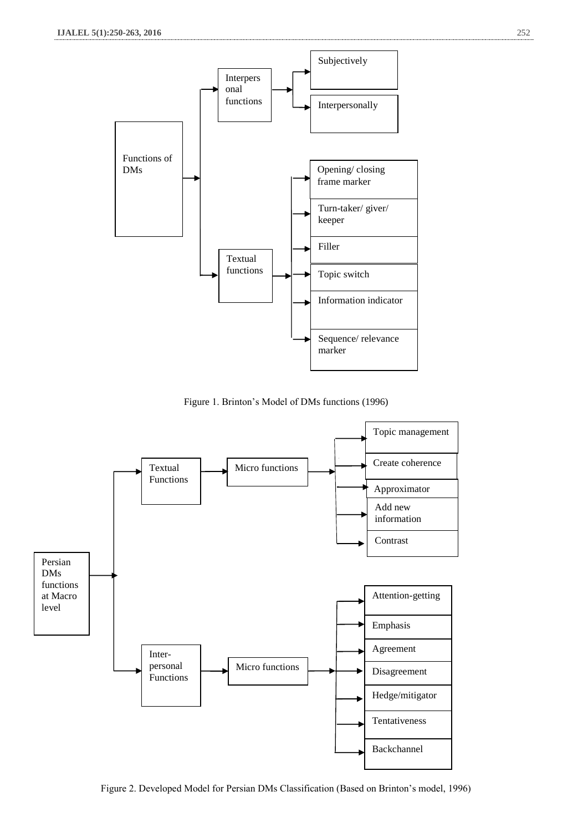

Figure 1. Brinton's Model of DMs functions (1996)



Figure 2. Developed Model for Persian DMs Classification (Based on Brinton's model, 1996)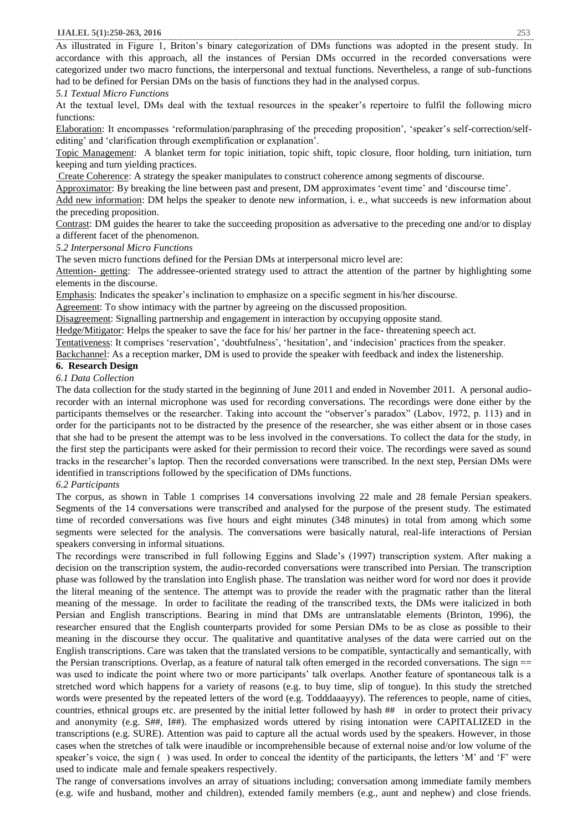As illustrated in Figure 1, Briton's binary categorization of DMs functions was adopted in the present study. In accordance with this approach, all the instances of Persian DMs occurred in the recorded conversations were categorized under two macro functions, the interpersonal and textual functions. Nevertheless, a range of sub-functions had to be defined for Persian DMs on the basis of functions they had in the analysed corpus.

# *5.1 Textual Micro Functions*

At the textual level, DMs deal with the textual resources in the speaker's repertoire to fulfil the following micro functions:

Elaboration: It encompasses 'reformulation/paraphrasing of the preceding proposition', 'speaker's self-correction/selfediting' and 'clarification through exemplification or explanation'.

Topic Management: A blanket term for topic initiation, topic shift, topic closure, floor holding, turn initiation, turn keeping and turn yielding practices.

Create Coherence: A strategy the speaker manipulates to construct coherence among segments of discourse.

Approximator: By breaking the line between past and present, DM approximates 'event time' and 'discourse time'. Add new information: DM helps the speaker to denote new information, i. e., what succeeds is new information about the preceding proposition.

Contrast: DM guides the hearer to take the succeeding proposition as adversative to the preceding one and/or to display a different facet of the phenomenon.

#### *5.2 Interpersonal Micro Functions*

The seven micro functions defined for the Persian DMs at interpersonal micro level are:

Attention- getting: The addressee-oriented strategy used to attract the attention of the partner by highlighting some elements in the discourse.

Emphasis: Indicates the speaker's inclination to emphasize on a specific segment in his/her discourse.

Agreement: To show intimacy with the partner by agreeing on the discussed proposition.

Disagreement: Signalling partnership and engagement in interaction by occupying opposite stand.

Hedge/Mitigator: Helps the speaker to save the face for his/ her partner in the face- threatening speech act.

Tentativeness: It comprises 'reservation', 'doubtfulness', 'hesitation', and 'indecision' practices from the speaker.

Backchannel: As a reception marker, DM is used to provide the speaker with feedback and index the listenership.

#### **6. Research Design**

*6.1 Data Collection*

The data collection for the study started in the beginning of June 2011 and ended in November 2011. A personal audiorecorder with an internal microphone was used for recording conversations. The recordings were done either by the participants themselves or the researcher. Taking into account the "observer's paradox" (Labov, 1972, p. 113) and in order for the participants not to be distracted by the presence of the researcher, she was either absent or in those cases that she had to be present the attempt was to be less involved in the conversations. To collect the data for the study, in the first step the participants were asked for their permission to record their voice. The recordings were saved as sound tracks in the researcher's laptop. Then the recorded conversations were transcribed. In the next step, Persian DMs were identified in transcriptions followed by the specification of DMs functions.

# *6.2 Participants*

The corpus, as shown in Table 1 comprises 14 conversations involving 22 male and 28 female Persian speakers. Segments of the 14 conversations were transcribed and analysed for the purpose of the present study. The estimated time of recorded conversations was five hours and eight minutes (348 minutes) in total from among which some segments were selected for the analysis. The conversations were basically natural, real-life interactions of Persian speakers conversing in informal situations.

The recordings were transcribed in full following Eggins and Slade's (1997) transcription system. After making a decision on the transcription system, the audio-recorded conversations were transcribed into Persian. The transcription phase was followed by the translation into English phase. The translation was neither word for word nor does it provide the literal meaning of the sentence. The attempt was to provide the reader with the pragmatic rather than the literal meaning of the message. In order to facilitate the reading of the transcribed texts, the DMs were italicized in both Persian and English transcriptions. Bearing in mind that DMs are untranslatable elements (Brinton, 1996), the researcher ensured that the English counterparts provided for some Persian DMs to be as close as possible to their meaning in the discourse they occur. The qualitative and quantitative analyses of the data were carried out on the English transcriptions. Care was taken that the translated versions to be compatible, syntactically and semantically, with the Persian transcriptions. Overlap, as a feature of natural talk often emerged in the recorded conversations. The sign == was used to indicate the point where two or more participants' talk overlaps. Another feature of spontaneous talk is a stretched word which happens for a variety of reasons (e.g. to buy time, slip of tongue). In this study the stretched words were presented by the repeated letters of the word (e.g. Todddaaayyy). The references to people, name of cities, countries, ethnical groups etc. are presented by the initial letter followed by hash ## in order to protect their privacy and anonymity (e.g. S##, I##). The emphasized words uttered by rising intonation were CAPITALIZED in the transcriptions (e.g. SURE). Attention was paid to capture all the actual words used by the speakers. However, in those cases when the stretches of talk were inaudible or incomprehensible because of external noise and/or low volume of the speaker's voice, the sign ( ) was used. In order to conceal the identity of the participants, the letters 'M' and 'F' were used to indicate male and female speakers respectively.

The range of conversations involves an array of situations including; conversation among immediate family members (e.g. wife and husband, mother and children), extended family members (e.g., aunt and nephew) and close friends.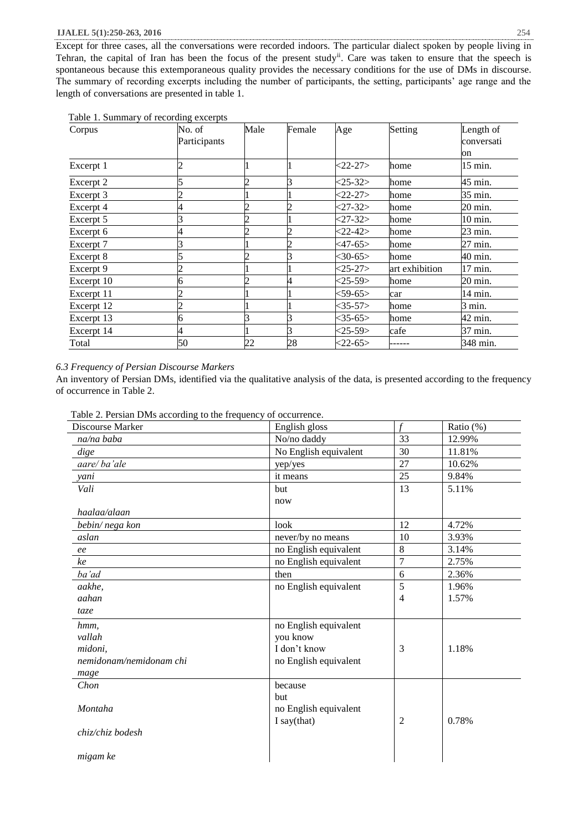Except for three cases, all the conversations were recorded indoors. The particular dialect spoken by people living in Tehran, the capital of Iran has been the focus of the present study<sup>ii</sup>. Care was taken to ensure that the speech is spontaneous because this extemporaneous quality provides the necessary conditions for the use of DMs in discourse. The summary of recording excerpts including the number of participants, the setting, participants' age range and the length of conversations are presented in table 1.

|  |  | Table 1. Summary of recording excerpts |  |
|--|--|----------------------------------------|--|
|--|--|----------------------------------------|--|

| Corpus     | No. of<br>Participants | Male | Female | Age           | Setting        | Length of<br>conversati |
|------------|------------------------|------|--------|---------------|----------------|-------------------------|
|            |                        |      |        |               |                | on                      |
| Excerpt 1  |                        |      |        | $22 - 27$     | home           | 15 min.                 |
| Excerpt 2  |                        |      |        | $<$ 25-32>    | home           | 45 min.                 |
| Excerpt 3  |                        |      |        | $<$ 22-27>    | home           | 35 min.                 |
| Excerpt 4  | 4                      |      |        | $27 - 32$     | home           | 20 min.                 |
| Excerpt 5  |                        |      |        | $<$ 27-32>    | home           | 10 min.                 |
| Excerpt 6  | 4                      |      |        | $<22-42>$     | home           | 23 min.                 |
| Excerpt 7  |                        |      |        | <47-65>       | home           | 27 min.                 |
| Excerpt 8  |                        |      |        | $<$ 30-65 $>$ | home           | 40 min.                 |
| Excerpt 9  |                        |      |        | $<$ 25-27>    | art exhibition | 17 min.                 |
| Excerpt 10 | 6                      |      |        | $<$ 25-59 $>$ | home           | 20 min.                 |
| Excerpt 11 |                        |      |        | $<$ 59-65 $>$ | car            | 14 min.                 |
| Excerpt 12 | 2                      |      |        | $<$ 35-57 $>$ | home           | 3 min.                  |
| Excerpt 13 | 6                      |      |        | $<$ 35-65>    | home           | 42 min.                 |
| Excerpt 14 | 4                      |      |        | $<$ 25-59 $>$ | cafe           | 37 min.                 |
| Total      | 50                     | 22   | 28     | $<$ 22-65>    |                | 348 min.                |

# *6.3 Frequency of Persian Discourse Markers*

An inventory of Persian DMs, identified via the qualitative analysis of the data, is presented according to the frequency of occurrence in Table 2.

|  | Table 2. Persian DMs according to the frequency of occurrence. |
|--|----------------------------------------------------------------|
|--|----------------------------------------------------------------|

| Discourse Marker        | English gloss         | f              | Ratio (%) |
|-------------------------|-----------------------|----------------|-----------|
| na/na baba              | No/no daddy           | 33             | 12.99%    |
| dige                    | No English equivalent | 30             | 11.81%    |
| aare/ba'ale             | yep/yes               | 27             | 10.62%    |
| yani                    | it means              | 25             | 9.84%     |
| Vali                    | but                   | 13             | 5.11%     |
|                         | now                   |                |           |
| haalaa/alaan            |                       |                |           |
| bebin/nega kon          | look                  | 12             | 4.72%     |
| aslan                   | never/by no means     | 10             | 3.93%     |
| ee                      | no English equivalent | 8              | 3.14%     |
| ke                      | no English equivalent | $\overline{7}$ | 2.75%     |
| ba'ad                   | then                  | 6              | 2.36%     |
| aakhe,                  | no English equivalent | 5              | 1.96%     |
| aahan                   |                       | $\overline{4}$ | 1.57%     |
| taze                    |                       |                |           |
| hmm,                    | no English equivalent |                |           |
| vallah                  | you know              |                |           |
| midoni,                 | I don't know          | 3              | 1.18%     |
| nemidonam/nemidonam chi | no English equivalent |                |           |
| mage                    |                       |                |           |
| Chon                    | because               |                |           |
|                         | but                   |                |           |
| Montaha                 | no English equivalent |                |           |
|                         | I say(that)           | $\overline{2}$ | 0.78%     |
| chiz/chiz bodesh        |                       |                |           |
|                         |                       |                |           |
| migam ke                |                       |                |           |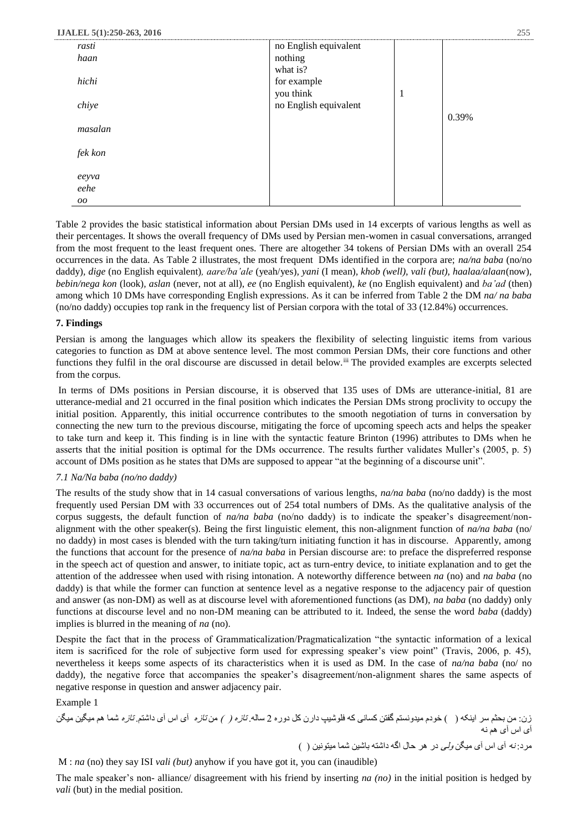| rasti   | no English equivalent |   |       |
|---------|-----------------------|---|-------|
| haan    | nothing               |   |       |
|         | what is?              |   |       |
| hichi   | for example           |   |       |
|         | you think             | 1 |       |
| chiye   | no English equivalent |   |       |
|         |                       |   | 0.39% |
| masalan |                       |   |       |
|         |                       |   |       |
| fek kon |                       |   |       |
|         |                       |   |       |
| eeyva   |                       |   |       |
| eehe    |                       |   |       |
| $00\,$  |                       |   |       |

Table 2 provides the basic statistical information about Persian DMs used in 14 excerpts of various lengths as well as their percentages. It shows the overall frequency of DMs used by Persian men-women in casual conversations, arranged from the most frequent to the least frequent ones. There are altogether 34 tokens of Persian DMs with an overall 254 occurrences in the data. As Table 2 illustrates, the most frequent DMs identified in the corpora are; *na/na baba* (no/no daddy)*, dige* (no English equivalent)*, aare/ba'ale* (yeah/yes)*, yani* (I mean)*, khob (well), vali (but), haalaa/alaan*(now)*, bebin/nega kon* (look)*, aslan* (never, not at all), *ee* (no English equivalent), *ke* (no English equivalent) and *ba'ad* (then) among which 10 DMs have corresponding English expressions. As it can be inferred from Table 2 the DM *na/ na baba*  (no/no daddy) occupies top rank in the frequency list of Persian corpora with the total of 33 (12.84%) occurrences.

#### **7. Findings**

Persian is among the languages which allow its speakers the flexibility of selecting linguistic items from various categories to function as DM at above sentence level. The most common Persian DMs, their core functions and other functions they fulfil in the oral discourse are discussed in detail below.<sup>iii</sup> The provided examples are excerpts selected from the corpus.

In terms of DMs positions in Persian discourse, it is observed that 135 uses of DMs are utterance-initial, 81 are utterance-medial and 21 occurred in the final position which indicates the Persian DMs strong proclivity to occupy the initial position. Apparently, this initial occurrence contributes to the smooth negotiation of turns in conversation by connecting the new turn to the previous discourse, mitigating the force of upcoming speech acts and helps the speaker to take turn and keep it. This finding is in line with the syntactic feature Brinton (1996) attributes to DMs when he asserts that the initial position is optimal for the DMs occurrence. The results further validates Muller's (2005, p. 5) account of DMs position as he states that DMs are supposed to appear "at the beginning of a discourse unit".

#### *7.1 Na/Na baba (no/no daddy)*

The results of the study show that in 14 casual conversations of various lengths, *na/na baba* (no/no daddy) is the most frequently used Persian DM with 33 occurrences out of 254 total numbers of DMs. As the qualitative analysis of the corpus suggests, the default function of *na/na baba* (no/no daddy) is to indicate the speaker's disagreement/nonalignment with the other speaker(s). Being the first linguistic element, this non-alignment function of *na/na baba* (no/ no daddy) in most cases is blended with the turn taking/turn initiating function it has in discourse. Apparently, among the functions that account for the presence of *na/na baba* in Persian discourse are: to preface the dispreferred response in the speech act of question and answer, to initiate topic, act as turn-entry device, to initiate explanation and to get the attention of the addressee when used with rising intonation. A noteworthy difference between *na* (no) and *na baba* (no daddy) is that while the former can function at sentence level as a negative response to the adjacency pair of question and answer (as non-DM) as well as at discourse level with aforementioned functions (as DM), *na baba* (no daddy) only functions at discourse level and no non-DM meaning can be attributed to it. Indeed, the sense the word *baba* (daddy) implies is blurred in the meaning of *na* (no).

Despite the fact that in the process of Grammaticalization/Pragmaticalization "the syntactic information of a lexical item is sacrificed for the role of subjective form used for expressing speaker's view point" (Travis, 2006, p. 45), nevertheless it keeps some aspects of its characteristics when it is used as DM. In the case of *na/na baba* (no/ no daddy), the negative force that accompanies the speaker's disagreement/non-alignment shares the same aspects of negative response in question and answer adjacency pair.

Example 1

زن: من بحثم سر اینکه ) ( خودم میدونستم گفتن کسانی که فلوشیپ دارن کل دوره 2 ساله. تازه ) ( من تازه آی اس آی داشتم. تازه شما هم میگین میگن آی اس آی هم نه مرد: نه آی اس آی میگن ولی در هر حال اگه داشته باشین شما میتونین ) (

M : *na* (no) they say ISI *vali (but)* anyhow if you have got it, you can (inaudible)

The male speaker's non- alliance/ disagreement with his friend by inserting *na (no)* in the initial position is hedged by *vali* (but) in the medial position.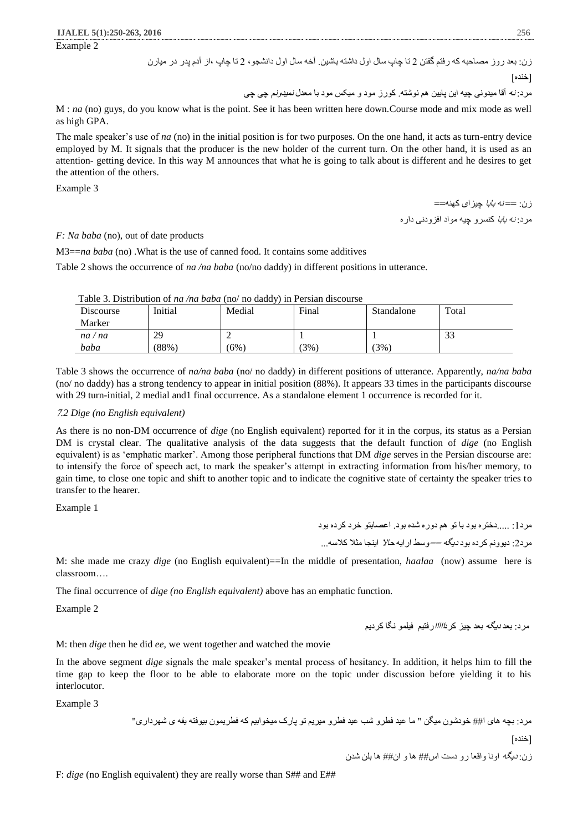Example 2

زن: بعد روز مصاحبه که رفتم گفتن 2 تا چاپ سال اول داشته باشین. آخه سال اول دانشجو، 2 تا چاپ ،از آدم پدر در میارن

$$
[\check{\phantom{a}}^{\phantom{\dagger}}\check{\phantom{a}}^{\phantom{\dagger}}]
$$

مرد: نه آقا میدونی چیه این پایین هم نوشته. کورز مود و میکس مود با معدل نمیدونم چی چی

M : *na* (no) guys, do you know what is the point. See it has been written here down.Course mode and mix mode as well as high GPA.

The male speaker's use of *na* (no) in the initial position is for two purposes. On the one hand, it acts as turn-entry device employed by M. It signals that the producer is the new holder of the current turn. On the other hand, it is used as an attention- getting device. In this way M announces that what he is going to talk about is different and he desires to get the attention of the others.

Example 3

زن: == نه بابا چیزای کهنه== مر د: *نه بابا* کنسر و چیه مواد افز و دنی دار ه

*F: Na baba* (no), out of date products

M3==*na baba* (no) .What is the use of canned food. It contains some additives

Table 2 shows the occurrence of *na /na baba* (no/no daddy) in different positions in utterance.

| Lable 5. Distribution of <i>ha /ha baba</i> (no/ no daddy) in Fersian discourse |         |         |         |            |       |  |
|---------------------------------------------------------------------------------|---------|---------|---------|------------|-------|--|
| Discourse                                                                       | Initial | Medial  | Final   | Standalone | Total |  |
| Marker                                                                          |         |         |         |            |       |  |
| na/na                                                                           | 29      |         |         |            | 33    |  |
| baba                                                                            | (88%)   | $(6\%)$ | $(3\%)$ | $3\%$      |       |  |

Table 3. Distribution of *na /na baba* (no/ no daddy) in Persian discourse

Table 3 shows the occurrence of *na/na baba* (no/ no daddy) in different positions of utterance. Apparently, *na/na baba*  (no/ no daddy) has a strong tendency to appear in initial position (88%). It appears 33 times in the participants discourse with 29 turn-initial, 2 medial and1 final occurrence. As a standalone element 1 occurrence is recorded for it.

#### <sup>7</sup>*.2 Dige (no English equivalent)*

As there is no non-DM occurrence of *dige* (no English equivalent) reported for it in the corpus, its status as a Persian DM is crystal clear. The qualitative analysis of the data suggests that the default function of *dige* (no English equivalent) is as 'emphatic marker'. Among those peripheral functions that DM *dige* serves in the Persian discourse are: to intensify the force of speech act, to mark the speaker's attempt in extracting information from his/her memory, to gain time, to close one topic and shift to another topic and to indicate the cognitive state of certainty the speaker tries to transfer to the hearer.

Example 1

مرد:1 .....دختره بود با تو هم دوره شده بود. اعصابتو خرد کرده بود

مرد:2 دیوونم کرده بود دیگه ==وسط ارایه حاال اینجا مثال کالسه...

M: she made me crazy *dige* (no English equivalent)==In the middle of presentation, *haalaa* (now) assume here is classroom….

The final occurrence of *dige (no English equivalent)* above has an emphatic function.

Example 2

مرد: بعد دیگه بعد چیز کردااااارفتیم فیلمو نگا کردیم

M: then *dige* then he did *ee*, we went together and watched the movie

In the above segment *dige* signals the male speaker's mental process of hesitancy. In addition, it helps him to fill the time gap to keep the floor to be able to elaborate more on the topic under discussion before yielding it to his interlocutor.

Example 3

مرد: بچه های ا## خودشون میگن " ما عید فطرو شب عید فطرو میریم تو پارک میخوابیم که فطریمون بیوفته یقه ی شهرداری" ]خنده[

زن: دیگه اونا واقعا رو دست اس## ها و ان## ها بلن شدن

F: *dige* (no English equivalent) they are really worse than S## and E##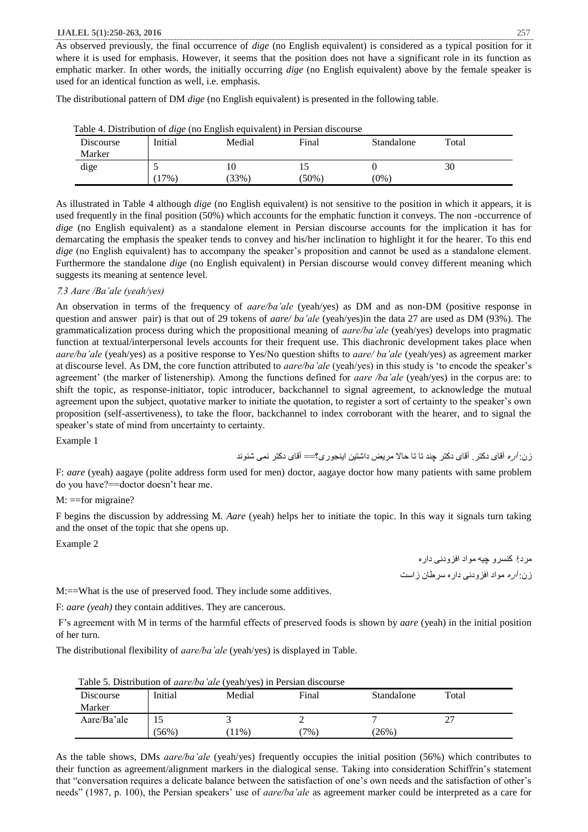As observed previously, the final occurrence of *dige* (no English equivalent) is considered as a typical position for it where it is used for emphasis. However, it seems that the position does not have a significant role in its function as emphatic marker. In other words, the initially occurring *dige* (no English equivalent) above by the female speaker is used for an identical function as well, i.e. emphasis.

The distributional pattern of DM *dige* (no English equivalent) is presented in the following table.

| Table 4. Distribution of <i>tage</i> (no English equivalent) in I cistan discourse<br>Discourse<br>Marker | Initial | Medial     | Final    | Standalone | Total |
|-----------------------------------------------------------------------------------------------------------|---------|------------|----------|------------|-------|
| dige                                                                                                      | $17\%$  | 10<br>33%) | $(50\%)$ | $(0\% )$   | 30    |

Table 4. Distribution of *dige* (no English equivalent) in Persian discourse

As illustrated in Table 4 although *dige* (no English equivalent) is not sensitive to the position in which it appears, it is used frequently in the final position (50%) which accounts for the emphatic function it conveys. The non -occurrence of *dige* (no English equivalent) as a standalone element in Persian discourse accounts for the implication it has for demarcating the emphasis the speaker tends to convey and his/her inclination to highlight it for the hearer. To this end *dige* (no English equivalent) has to accompany the speaker's proposition and cannot be used as a standalone element. Furthermore the standalone *dige* (no English equivalent) in Persian discourse would convey different meaning which suggests its meaning at sentence level.

### <sup>7</sup>*.3 Aare /Ba'ale (yeah/yes)*

An observation in terms of the frequency of *aare/ba'ale* (yeah/yes) as DM and as non-DM (positive response in question and answer pair) is that out of 29 tokens of *aare/ ba'ale* (yeah/yes)in the data 27 are used as DM (93%). The grammaticalization process during which the propositional meaning of *aare/ba'ale* (yeah/yes) develops into pragmatic function at textual/interpersonal levels accounts for their frequent use. This diachronic development takes place when *aare/ba'ale* (yeah/yes) as a positive response to Yes/No question shifts to *aare/ ba'ale* (yeah/yes) as agreement marker at discourse level. As DM, the core function attributed to *aare/ba'ale* (yeah/yes) in this study is 'to encode the speaker's agreement' (the marker of listenership). Among the functions defined for *aare /ba'ale* (yeah/yes) in the corpus are: to shift the topic, as response-initiator, topic introducer, backchannel to signal agreement, to acknowledge the mutual agreement upon the subject, quotative marker to initiate the quotation, to register a sort of certainty to the speaker's own proposition (self-assertiveness), to take the floor, backchannel to index corroborant with the hearer, and to signal the speaker's state of mind from uncertainty to certainty.

Example 1

زن: آره آقای دکتر. آقای دکتر چند تا تا حاال مریض داشتین اینجوری؟== آقای دکتر نمی شنوند

F: *aare* (yeah) aagaye (polite address form used for men) doctor, aagaye doctor how many patients with same problem do you have?==doctor doesn't hear me.

#### M: ==for migraine?

F begins the discussion by addressing M. *Aare* (yeah) helps her to initiate the topic. In this way it signals turn taking and the onset of the topic that she opens up.

Example 2

مرد:ا کنسرو چیه مواد افزودنی داره زن: آره مواد افزودنی داره سرطان زاست

M:==What is the use of preserved food. They include some additives.

F: *aare (yeah)* they contain additives. They are cancerous.

F's agreement with M in terms of the harmful effects of preserved foods is shown by *aare* (yeah) in the initial position of her turn.

The distributional flexibility of *aare/ba'ale* (yeah/yes) is displayed in Table.

| Table 5. Distribution of <i>aare/ba'ale</i> (yeah/yes) in Persian discourse |         |        |        |            |       |  |  |
|-----------------------------------------------------------------------------|---------|--------|--------|------------|-------|--|--|
| Discourse                                                                   | Initial | Medial | Final  | Standalone | Total |  |  |
| Marker                                                                      |         |        |        |            |       |  |  |
| Aare/Ba'ale                                                                 | כ ו     |        |        |            |       |  |  |
|                                                                             | (56%)   | $11\%$ | $7\%)$ | $26\%)$    |       |  |  |

Table 5. Distribution of *aare/ba'ale* (yeah/yes) in Persian discourse

As the table shows, DMs *aare/ba'ale* (yeah/yes) frequently occupies the initial position (56%) which contributes to their function as agreement/alignment markers in the dialogical sense. Taking into consideration Schiffrin's statement that "conversation requires a delicate balance between the satisfaction of one's own needs and the satisfaction of other's needs" (1987, p. 100), the Persian speakers' use of *aare/ba'ale* as agreement marker could be interpreted as a care for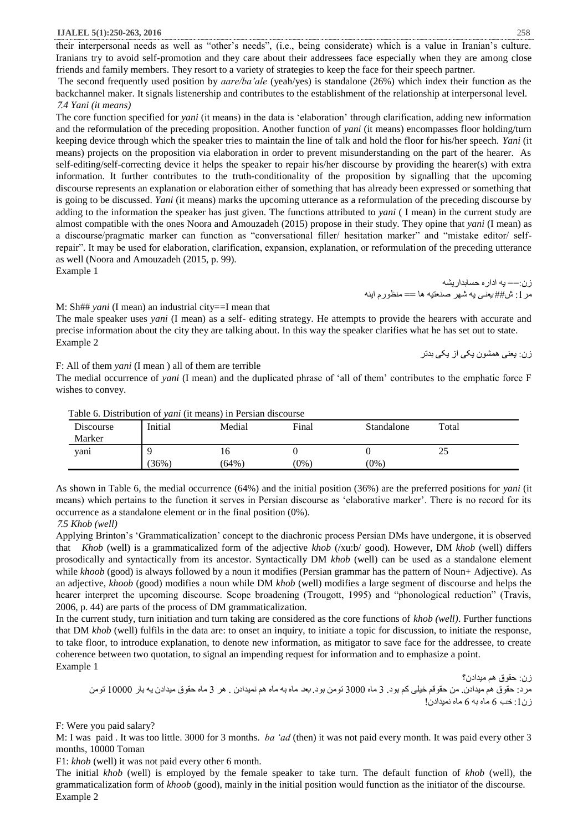their interpersonal needs as well as "other's needs", (i.e., being considerate) which is a value in Iranian's culture. Iranians try to avoid self-promotion and they care about their addressees face especially when they are among close friends and family members. They resort to a variety of strategies to keep the face for their speech partner.

The second frequently used position by *aare/ba'ale* (yeah/yes) is standalone (26%) which index their function as the backchannel maker. It signals listenership and contributes to the establishment of the relationship at interpersonal level. <sup>7</sup>*.4 Yani (it means)*

The core function specified for *yani* (it means) in the data is 'elaboration' through clarification, adding new information and the reformulation of the preceding proposition. Another function of *yani* (it means) encompasses floor holding/turn keeping device through which the speaker tries to maintain the line of talk and hold the floor for his/her speech. *Yani* (it means) projects on the proposition via elaboration in order to prevent misunderstanding on the part of the hearer. As self-editing/self-correcting device it helps the speaker to repair his/her discourse by providing the hearer(s) with extra information. It further contributes to the truth-conditionality of the proposition by signalling that the upcoming discourse represents an explanation or elaboration either of something that has already been expressed or something that is going to be discussed. *Yani* (it means) marks the upcoming utterance as a reformulation of the preceding discourse by adding to the information the speaker has just given. The functions attributed to *yani* ( I mean) in the current study are almost compatible with the ones Noora and Amouzadeh (2015) propose in their study. They opine that *yani* (I mean) as a discourse/pragmatic marker can function as "conversational filler/ hesitation marker" and "mistake editor/ selfrepair". It may be used for elaboration, clarification, expansion, explanation, or reformulation of the preceding utterance as well (Noora and Amouzadeh (2015, p. 99).

Example 1

زن:== یه اداره حسابداریشه مر 1: ش## *یعنی* یه شهر صنعتیه ها == منظورم اینه

M: Sh## *yani* (I mean) an industrial city==I mean that

The male speaker uses *yani* (I mean) as a self- editing strategy. He attempts to provide the hearers with accurate and precise information about the city they are talking about. In this way the speaker clarifies what he has set out to state. Example 2

زن: یعنی همشون یکی از یکی بدتر

F: All of them *yani* (I mean ) all of them are terrible

The medial occurrence of *yani* (I mean) and the duplicated phrase of 'all of them' contributes to the emphatic force F wishes to convey.

| Tuble of Distribution of <i>full</i> (it means) in I crimin uncourse |         |          |         |            |       |  |
|----------------------------------------------------------------------|---------|----------|---------|------------|-------|--|
| Discourse                                                            | Initial | Medial   | Final   | Standalone | Total |  |
| Marker                                                               |         |          |         |            |       |  |
| yanı                                                                 |         | 16       |         |            | 25    |  |
|                                                                      | 36%     | $(64\%)$ | $(0\%)$ | $(0\%)$    |       |  |

Table 6. Distribution of *yani* (it means) in Persian discourse

As shown in Table 6, the medial occurrence (64%) and the initial position (36%) are the preferred positions for *yani* (it means) which pertains to the function it serves in Persian discourse as 'elaborative marker'. There is no record for its occurrence as a standalone element or in the final position (0%).

### <sup>7</sup>*.5 Khob (well)*

Applying Brinton's 'Grammaticalization' concept to the diachronic process Persian DMs have undergone, it is observed that *Khob* (well) is a grammaticalized form of the adjective *khob* (/xu:b/ good)*.* However, DM *khob* (well) differs prosodically and syntactically from its ancestor. Syntactically DM *khob* (well) can be used as a standalone element while *khoob* (good) is always followed by a noun it modifies (Persian grammar has the pattern of Noun+ Adjective). As an adjective, *khoob* (good) modifies a noun while DM *khob* (well) modifies a large segment of discourse and helps the hearer interpret the upcoming discourse. Scope broadening (Trougott, 1995) and "phonological reduction" (Travis, 2006, p. 44) are parts of the process of DM grammaticalization.

In the current study, turn initiation and turn taking are considered as the core functions of *khob (well)*. Further functions that DM *khob* (well) fulfils in the data are: to onset an inquiry, to initiate a topic for discussion, to initiate the response, to take floor, to introduce explanation, to denote new information, as mitigator to save face for the addressee, to create coherence between two quotation, to signal an impending request for information and to emphasize a point. Example 1

زن: حقوق هم میدادن؟ مرد: حقوق هم میدادن. من حقوقم خیلی کم بود. 3 ماه 3000 تومن بود. بعد ماه به ماه هم نمیدادن . هر 3 ماه حقوق میدادن یه بار 10000 تومن  $($ زن: $($ : خب 6 ماه به 6 ماه نمیدادن

F: Were you paid salary?

M: I was paid . It was too little. 3000 for 3 months. *ba 'ad* (then) it was not paid every month. It was paid every other 3 months, 10000 Toman

F1: *khob* (well) it was not paid every other 6 month.

The initial *khob* (well) is employed by the female speaker to take turn. The default function of *khob* (well), the grammaticalization form of *khoob* (good), mainly in the initial position would function as the initiator of the discourse. Example 2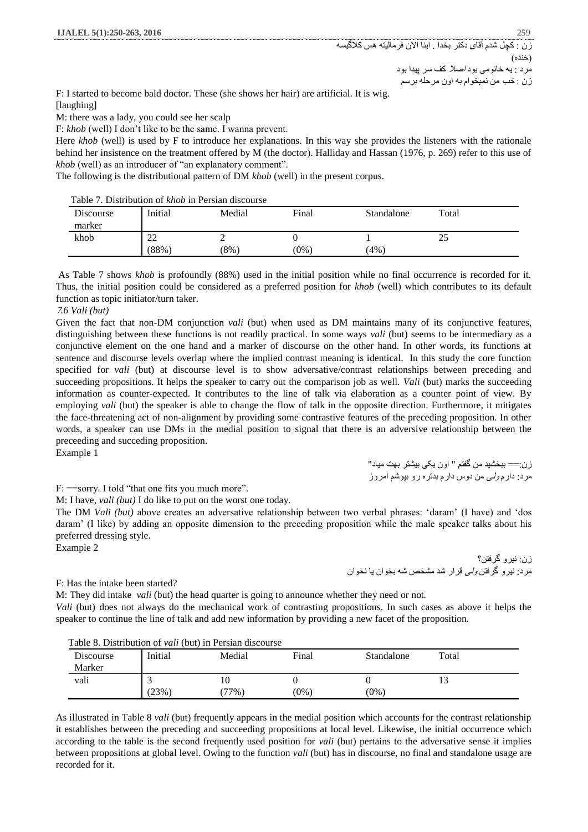F: I started to become bald doctor. These (she shows her hair) are artificial. It is wig. [laughing]

M: there was a lady, you could see her scalp

F: *khob* (well) I don't like to be the same. I wanna prevent.

Here *khob* (well) is used by F to introduce her explanations. In this way she provides the listeners with the rationale behind her insistence on the treatment offered by M (the doctor). Halliday and Hassan (1976, p. 269) refer to this use of *khob* (well) as an introducer of "an explanatory comment".

The following is the distributional pattern of DM *khob* (well) in the present corpus.

Table 7. Distribution of *khob* in Persian discourse

| Table 7. Distribution of <i>Milly</i> in Fersian discourse |             |         |         |            |       |  |
|------------------------------------------------------------|-------------|---------|---------|------------|-------|--|
| Discourse<br>marker                                        | Initial     | Medial  | Final   | Standalone | Total |  |
| khob                                                       | ∠∠<br>(88%) | $(8\%)$ | $(0\%)$ | $4\%$      | رے    |  |

As Table 7 shows *khob* is profoundly (88%) used in the initial position while no final occurrence is recorded for it. Thus, the initial position could be considered as a preferred position for *khob* (well) which contributes to its default function as topic initiator/turn taker.

#### <sup>7</sup>*.6 Vali (but)*

Given the fact that non-DM conjunction *vali* (but) when used as DM maintains many of its conjunctive features, distinguishing between these functions is not readily practical. In some ways *vali* (but) seems to be intermediary as a conjunctive element on the one hand and a marker of discourse on the other hand. In other words, its functions at sentence and discourse levels overlap where the implied contrast meaning is identical. In this study the core function specified for *vali* (but) at discourse level is to show adversative/contrast relationships between preceding and succeeding propositions. It helps the speaker to carry out the comparison job as well. *Vali* (but) marks the succeeding information as counter-expected. It contributes to the line of talk via elaboration as a counter point of view. By employing *vali* (but) the speaker is able to change the flow of talk in the opposite direction. Furthermore, it mitigates the face-threatening act of non-alignment by providing some contrastive features of the preceding proposition. In other words, a speaker can use DMs in the medial position to signal that there is an adversive relationship between the preceeding and succeding proposition.

Example 1

زن:== ببخشید من گفتم " اون یکی بیشتر بهت میاد" مرد: دارم ولی من دوس دارم بدتره رو بپوشم امروز

F: = sorry. I told "that one fits you much more".

M: I have, *vali (but)* I do like to put on the worst one today.

The DM *Vali (but)* above creates an adversative relationship between two verbal phrases: 'daram' (I have) and 'dos daram' (I like) by adding an opposite dimension to the preceding proposition while the male speaker talks about his preferred dressing style.

Example 2

زن: نیرو گرفتن؟ مرد: نیرو گرفتن ولی قرار شد مشخص شه بخوان یا نخوان

# F: Has the intake been started?

M: They did intake *vali* (but) the head quarter is going to announce whether they need or not. *Vali* (but) does not always do the mechanical work of contrasting propositions. In such cases as above it helps the speaker to continue the line of talk and add new information by providing a new facet of the proposition.

| Table 8. Distribution of <i>vali</i> (but) in Persian discourse |         |        |         |            |       |  |  |
|-----------------------------------------------------------------|---------|--------|---------|------------|-------|--|--|
| Discourse                                                       | Initial | Medial | Final   | Standalone | Total |  |  |
| Marker                                                          |         |        |         |            |       |  |  |
| vali                                                            |         | 10     |         |            |       |  |  |
|                                                                 | $23\%$  | $77\%$ | $(0\%)$ | $(0\%)$    |       |  |  |

# Table 8. Distribution of *vali* (but) in Persian discourse

As illustrated in Table 8 *vali* (but) frequently appears in the medial position which accounts for the contrast relationship it establishes between the preceding and succeeding propositions at local level. Likewise, the initial occurrence which according to the table is the second frequently used position for *vali* (but) pertains to the adversative sense it implies between propositions at global level. Owing to the function *vali* (but) has in discourse, no final and standalone usage are recorded for it.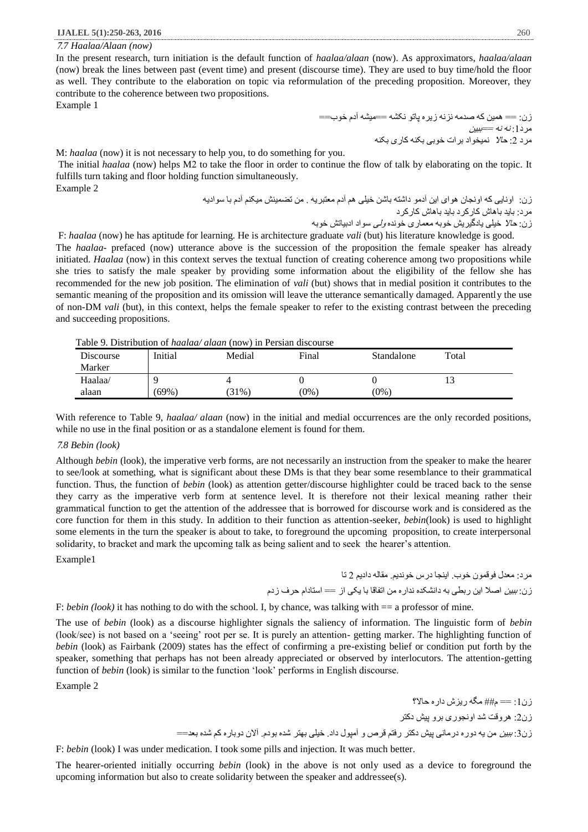<sup>7</sup>*.7 Haalaa/Alaan (now)*

In the present research, turn initiation is the default function of *haalaa/alaan* (now). As approximators, *haalaa/alaan*  (now) break the lines between past (event time) and present (discourse time). They are used to buy time/hold the floor as well. They contribute to the elaboration on topic via reformulation of the preceding proposition. Moreover, they contribute to the coherence between two propositions.

Example 1

زن: == همین که صدمه نزنه زیره پاتو نکشه ==میشه آدم خوب== مر د<u>1</u>: *نه نه ==ببین* مرد 2: حالا نمیخواد برات خوبی بکنه کاری بکنه

M: *haalaa* (now) it is not necessary to help you, to do something for you.

The initial *haalaa* (now) helps M2 to take the floor in order to continue the flow of talk by elaborating on the topic. It fulfills turn taking and floor holding function simultaneously. Example 2

زن: اونایی که اونجان هوای این آدمو داشته باشن خیلی هم آدم معتبریه . من تضمینش میکنم آدم با سوادیه مرد: باید باهاش کارکرد باید باهاش کارکرد زن: حاال خیلی یادگیریش خوبه معماری خونده ولی سواد ادبیاتش خوبه

F: *haalaa* (now) he has aptitude for learning. He is architecture graduate *vali* (but) his literature knowledge is good. The *haalaa*- prefaced (now) utterance above is the succession of the proposition the female speaker has already initiated. *Haalaa* (now) in this context serves the textual function of creating coherence among two propositions while she tries to satisfy the male speaker by providing some information about the eligibility of the fellow she has recommended for the new job position. The elimination of *vali* (but) shows that in medial position it contributes to the semantic meaning of the proposition and its omission will leave the utterance semantically damaged. Apparently the use of non-DM *vali* (but), in this context, helps the female speaker to refer to the existing contrast between the preceding and succeeding propositions.

Table 9. Distribution of *haalaa/ alaan* (now) in Persian discourse

| <b>Table 5. Distribution of <i>Huddully diddn</i></b> (flow) in Fersian discourse |         |          |         |            |       |  |
|-----------------------------------------------------------------------------------|---------|----------|---------|------------|-------|--|
| Discourse                                                                         | Initial | Medial   | Final   | Standalone | Total |  |
| Marker                                                                            |         |          |         |            |       |  |
| Haalaa/                                                                           |         |          |         |            |       |  |
| alaan                                                                             | (69%)   | $(31\%)$ | $(0\%)$ | $(0\%)$    |       |  |

With reference to Table 9, *haalaa/ alaan* (now) in the initial and medial occurrences are the only recorded positions, while no use in the final position or as a standalone element is found for them.

#### <sup>7</sup>*.8 Bebin (look)*

Although *bebin* (look), the imperative verb forms, are not necessarily an instruction from the speaker to make the hearer to see/look at something, what is significant about these DMs is that they bear some resemblance to their grammatical function. Thus, the function of *bebin* (look) as attention getter/discourse highlighter could be traced back to the sense they carry as the imperative verb form at sentence level. It is therefore not their lexical meaning rather their grammatical function to get the attention of the addressee that is borrowed for discourse work and is considered as the core function for them in this study. In addition to their function as attention-seeker, *bebin*(look) is used to highlight some elements in the turn the speaker is about to take, to foreground the upcoming proposition, to create interpersonal solidarity, to bracket and mark the upcoming talk as being salient and to seek the hearer's attention.

Example1

مرد: معدل فوقمون خوب. اینجا درس خوندیم. مقاله دادیم 2 تا زن: ببین اصال این ربطی به دانشکده نداره من اتفاقا با یکی از == استادام حرف زدم

F: *bebin (look)* it has nothing to do with the school. I, by chance, was talking with == a professor of mine.

The use of *bebin* (look) as a discourse highlighter signals the saliency of information. The linguistic form of *bebin* (look/see) is not based on a 'seeing' root per se. It is purely an attention- getting marker. The highlighting function of *bebin* (look) as Fairbank (2009) states has the effect of confirming a pre-existing belief or condition put forth by the speaker, something that perhaps has not been already appreciated or observed by interlocutors. The attention-getting function of *bebin* (look) is similar to the function 'look' performs in English discourse.

Example 2

زن:1 == م## مگه ریزش داره حاال؟ زن:2 هروقت شد اونجوری برو پیش دکتر زن:3 ببین من یه دوره درمانی پیش دکتر رفتم قرص و آمپول داد. خیلی بهتر شده بودم. آالن دوباره کم شده بعد==

F: *bebin* (look) I was under medication. I took some pills and injection. It was much better.

The hearer-oriented initially occurring *bebin* (look) in the above is not only used as a device to foreground the upcoming information but also to create solidarity between the speaker and addressee(s).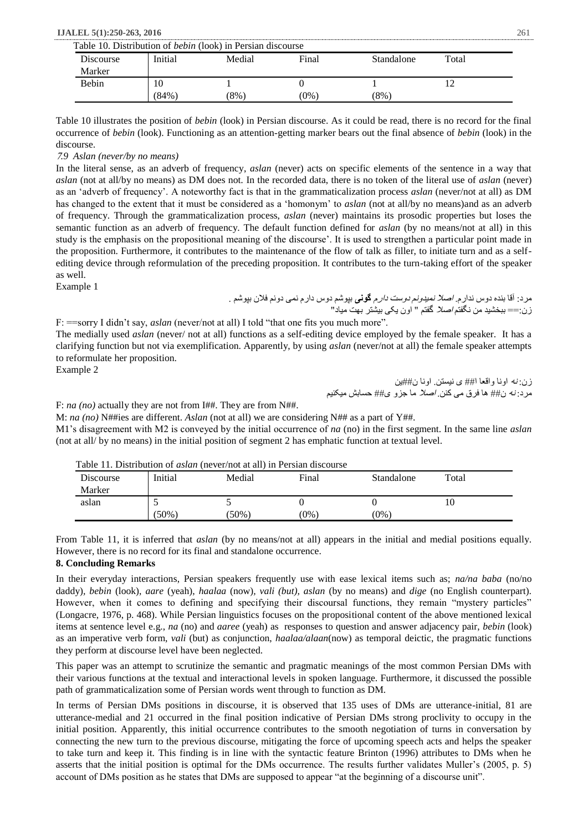| Table 10. Distribution of <i>bebin</i> (look) in Persian discourse |              |         |         |         |            |       |
|--------------------------------------------------------------------|--------------|---------|---------|---------|------------|-------|
|                                                                    | Discourse    | Initial | Medial  | Final   | Standalone | Total |
|                                                                    | Marker       |         |         |         |            |       |
|                                                                    | <b>Bebin</b> | 10      |         |         |            |       |
|                                                                    |              | (84%)   | $(8\%)$ | $(0\%)$ | $(8\%)$    |       |

Table 10 illustrates the position of *bebin* (look) in Persian discourse. As it could be read, there is no record for the final occurrence of *bebin* (look). Functioning as an attention-getting marker bears out the final absence of *bebin* (look) in the discourse.

#### <sup>7</sup>*.9 Aslan (never/by no means)*

In the literal sense, as an adverb of frequency, *aslan* (never) acts on specific elements of the sentence in a way that *aslan* (not at all/by no means) as DM does not*.* In the recorded data, there is no token of the literal use of *aslan* (never) as an 'adverb of frequency'. A noteworthy fact is that in the grammaticalization process *aslan* (never/not at all) as DM has changed to the extent that it must be considered as a 'homonym' to *aslan* (not at all/by no means)and as an adverb of frequency. Through the grammaticalization process, *aslan* (never) maintains its prosodic properties but loses the semantic function as an adverb of frequency. The default function defined for *aslan* (by no means/not at all) in this study is the emphasis on the propositional meaning of the discourse'. It is used to strengthen a particular point made in the proposition. Furthermore, it contributes to the maintenance of the flow of talk as filler, to initiate turn and as a selfediting device through reformulation of the preceding proposition. It contributes to the turn-taking effort of the speaker as well.

Example 1

مرد: آقا بنده دوس ندارم. اصال نمیدونم دوست دارم **گونی** بپوشم دوس دارم نمی دونم فالن بپوشم . زن:== ببخشید من نگفتم اصال گفتم " اون یکی بیشتر بهت میاد"

F: ==sorry I didn't say, *aslan* (never/not at all) I told "that one fits you much more". The medially used *aslan* (never/ not at all) functions as a self-editing device employed by the female speaker. It has a clarifying function but not via exemplification. Apparently, by using *aslan* (never/not at all) the female speaker attempts to reformulate her proposition.

Example 2

زن: نه اونا واقعا ا## ی نیستن. اونا ن##ین مرد: نه ن## ها فرق می کنن. اصال ما جزو ی## حسابش میکنیم

F: *na (no)* actually they are not from I##. They are from N##.

M: *na (no)* N##ies are different. *Aslan* (not at all) we are considering N## as a part of Y##. M1's disagreement with M2 is conveyed by the initial occurrence of *na* (no) in the first segment. In the same line *aslan*  (not at all/ by no means) in the initial position of segment 2 has emphatic function at textual level.

| l'able 11. Distribution of <i>aslan</i> (never/not at all) in Persian discourse |         |          |         |            |       |  |  |
|---------------------------------------------------------------------------------|---------|----------|---------|------------|-------|--|--|
| Discourse                                                                       | Initial | Medial   | Final   | Standalone | Total |  |  |
| Marker                                                                          |         |          |         |            |       |  |  |
| aslan                                                                           |         |          |         |            |       |  |  |
|                                                                                 | (50%)   | $(50\%)$ | $(0\%)$ | $(0\%)$    |       |  |  |

Table 11. Distribution of *aslan* (never/not at all) in Persian discourse

From Table 11, it is inferred that *aslan* (by no means/not at all) appears in the initial and medial positions equally. However, there is no record for its final and standalone occurrence.

#### **8. Concluding Remarks**

In their everyday interactions, Persian speakers frequently use with ease lexical items such as; *na/na baba* (no/no daddy)*, bebin* (look), *aare* (yeah), *haalaa* (now)*, vali (but), aslan* (by no means) and *dige* (no English counterpart)*.*  However, when it comes to defining and specifying their discoursal functions, they remain "mystery particles" (Longacre, 1976, p. 468). While Persian linguistics focuses on the propositional content of the above mentioned lexical items at sentence level e.g., *na* (no) and *aaree* (yeah) as responses to question and answer adjacency pair, *bebin* (look) as an imperative verb form, *vali* (but) as conjunction, *haalaa/alaan*(now) as temporal deictic, the pragmatic functions they perform at discourse level have been neglected.

This paper was an attempt to scrutinize the semantic and pragmatic meanings of the most common Persian DMs with their various functions at the textual and interactional levels in spoken language. Furthermore, it discussed the possible path of grammaticalization some of Persian words went through to function as DM.

In terms of Persian DMs positions in discourse, it is observed that 135 uses of DMs are utterance-initial, 81 are utterance-medial and 21 occurred in the final position indicative of Persian DMs strong proclivity to occupy in the initial position. Apparently, this initial occurrence contributes to the smooth negotiation of turns in conversation by connecting the new turn to the previous discourse, mitigating the force of upcoming speech acts and helps the speaker to take turn and keep it. This finding is in line with the syntactic feature Brinton (1996) attributes to DMs when he asserts that the initial position is optimal for the DMs occurrence. The results further validates Muller's (2005, p. 5) account of DMs position as he states that DMs are supposed to appear "at the beginning of a discourse unit".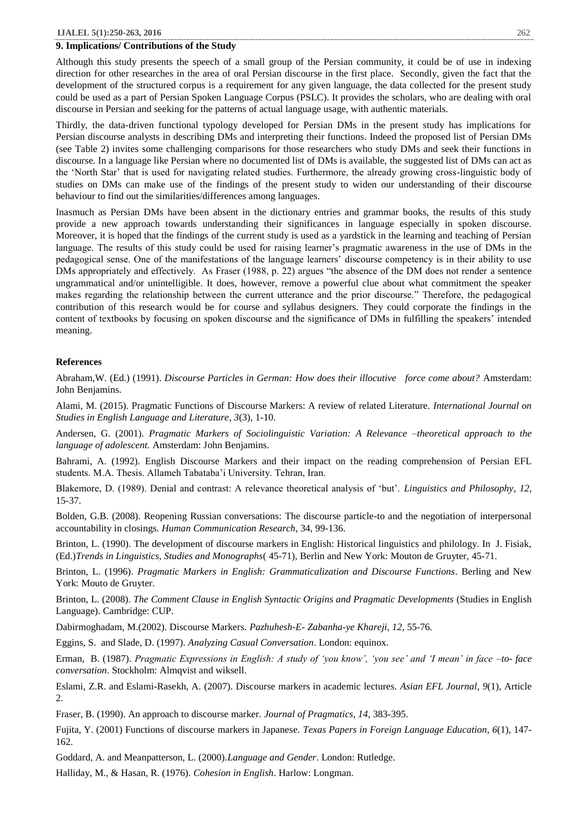#### **9. Implications/ Contributions of the Study**

Although this study presents the speech of a small group of the Persian community, it could be of use in indexing direction for other researches in the area of oral Persian discourse in the first place. Secondly, given the fact that the development of the structured corpus is a requirement for any given language, the data collected for the present study could be used as a part of Persian Spoken Language Corpus (PSLC). It provides the scholars, who are dealing with oral discourse in Persian and seeking for the patterns of actual language usage, with authentic materials.

Thirdly, the data-driven functional typology developed for Persian DMs in the present study has implications for Persian discourse analysts in describing DMs and interpreting their functions. Indeed the proposed list of Persian DMs (see Table 2) invites some challenging comparisons for those researchers who study DMs and seek their functions in discourse. In a language like Persian where no documented list of DMs is available, the suggested list of DMs can act as the 'North Star' that is used for navigating related studies. Furthermore, the already growing cross-linguistic body of studies on DMs can make use of the findings of the present study to widen our understanding of their discourse behaviour to find out the similarities/differences among languages.

Inasmuch as Persian DMs have been absent in the dictionary entries and grammar books, the results of this study provide a new approach towards understanding their significances in language especially in spoken discourse. Moreover, it is hoped that the findings of the current study is used as a yardstick in the learning and teaching of Persian language. The results of this study could be used for raising learner's pragmatic awareness in the use of DMs in the pedagogical sense. One of the manifestations of the language learners' discourse competency is in their ability to use DMs appropriately and effectively. As Fraser (1988, p. 22) argues "the absence of the DM does not render a sentence ungrammatical and/or unintelligible. It does, however, remove a powerful clue about what commitment the speaker makes regarding the relationship between the current utterance and the prior discourse." Therefore, the pedagogical contribution of this research would be for course and syllabus designers. They could corporate the findings in the content of textbooks by focusing on spoken discourse and the significance of DMs in fulfilling the speakers' intended meaning.

#### **References**

Abraham,W. (Ed.) (1991). *Discourse Particles in German: How does their illocutive force come about?* Amsterdam: John Benjamins.

Alami, M. (2015). Pragmatic Functions of Discourse Markers: A review of related Literature. *International Journal on Studies in English Language and Literature*, *3*(3), 1-10.

Andersen, G. (2001). *Pragmatic Markers of Sociolinguistic Variation: A Relevance –theoretical approach to the language of adolescent.* Amsterdam: John Benjamins.

Bahrami, A. (1992). English Discourse Markers and their impact on the reading comprehension of Persian EFL students. M.A. Thesis. Allameh Tabataba'i University. Tehran, Iran.

Blakemore, D. (1989). Denial and contrast: A relevance theoretical analysis of 'but'. *Linguistics and Philosophy*, *12,* 15-37.

Bolden, G.B. (2008). Reopening Russian conversations: The discourse particle-to and the negotiation of interpersonal accountability in closings. *Human Communication Research*, 34, 99-136.

Brinton, L. (1990). The development of discourse markers in English: Historical linguistics and philology. In J. Fisiak, (Ed.)*Trends in Linguistics, Studies and Monographs*( 45-71), Berlin and New York: Mouton de Gruyter, 45-71.

Brinton, L. (1996). *Pragmatic Markers in English: Grammaticalization and Discourse Functions*. Berling and New York: Mouto de Gruyter.

Brinton, L. (2008). *The Comment Clause in English Syntactic Origins and Pragmatic Developments* (Studies in English Language). Cambridge: CUP.

Dabirmoghadam, M.(2002). Discourse Markers. *Pazhuhesh-E- Zabanha-ye Khareji*, *12*, 55-76.

Eggins, S. and Slade, D. (1997). *Analyzing Casual Conversation*. London: equinox.

Erman, B. (1987). *Pragmatic Expressions in English: A study of 'you know', 'you see' and 'I mean' in face –to- face conversation*. Stockholm: Almqvist and wiksell.

Eslami, Z.R. and Eslami-Rasekh, A. (2007). Discourse markers in academic lectures. *Asian EFL Journal*, *9*(1), Article 2.

Fraser, B. (1990). An approach to discourse marker. *Journal of Pragmatics, 14,* 383-395.

Fujita, Y. (2001) Functions of discourse markers in Japanese. *Texas Papers in Foreign Language Education*, *6*(1), 147- 162.

Goddard, A. and Meanpatterson, L. (2000).*Language and Gender*. London: Rutledge.

Halliday, M., & Hasan, R. (1976). *Cohesion in English*. Harlow: Longman.